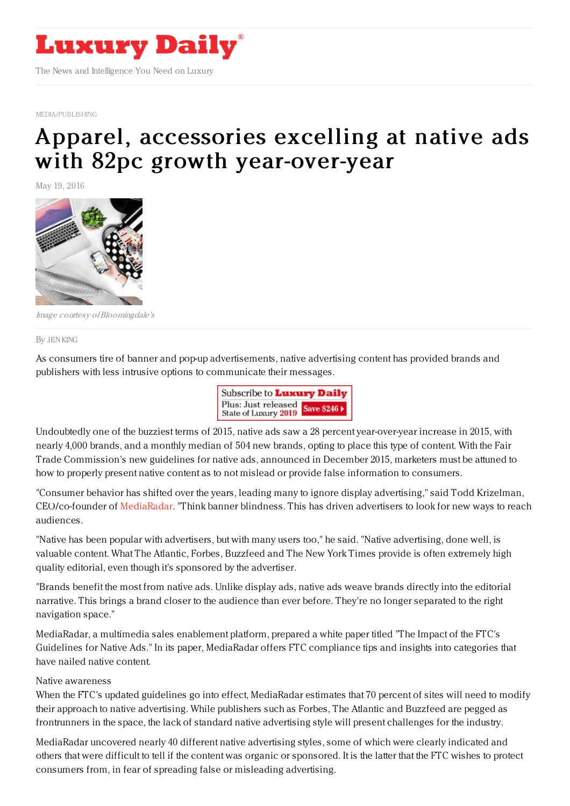

[MEDIA/PUBLISHING](http://www.luxurydaily.com/category/sectors/mediapublishing/)

## Apparel, accessories excelling at native ads with 82pc growth [year-over-year](https://www.luxurydaily.com/apparel-accessories-excelling-at-native-ads-with-82pc-growth-year-over-year/)

May 19, 2016



Image courtesy ofBloomingdale's

By JEN [KING](file:///author/jen-king)

As consumers tire of banner and pop-up advertisements, native advertising content has provided brands and publishers with less intrusive options to communicate their messages.



Undoubtedly one of the buzziest terms of 2015, native ads saw a 28 percent year-over-year increase in 2015, with nearly 4,000 brands, and a monthly median of 504 new brands, opting to place this type of content. With the Fair Trade Commission's new guidelines for native ads, announced in December 2015, marketers must be attuned to how to properly present native content as to not mislead or provide false information to consumers.

"Consumer behavior has shifted over the years, leading many to ignore display advertising," said Todd Krizelman, CEO/co-founder of [MediaRadar](http://www.mediaradar.com). "Think banner blindness. This has driven advertisers to look for new ways to reach audiences.

"Native has been popular with advertisers, but with many users too," he said. "Native advertising, done well, is valuable content. What The Atlantic, Forbes, Buzzfeed and The New York Times provide is often extremely high quality editorial, even though it's sponsored by the advertiser.

"Brands benefit the most from native ads. Unlike display ads, native ads weave brands directly into the editorial narrative. This brings a brand closer to the audience than ever before. They're no longer separated to the right navigation space."

MediaRadar, a multimedia sales enablement platform, prepared a white paper titled "The Impact of the FTC's Guidelines for Native Ads." In its paper, MediaRadar offers FTC compliance tips and insights into categories that have nailed native content.

## Native awareness

When the FTC's updated guidelines go into effect, MediaRadar estimates that 70 percent of sites will need to modify their approach to native advertising. While publishers such as Forbes, The Atlantic and Buzzfeed are pegged as frontrunners in the space, the lack of standard native advertising style will present challenges for the industry.

MediaRadar uncovered nearly 40 different native advertising styles, some of which were clearly indicated and others that were difficult to tell if the content was organic or sponsored. It is the latter that the FTC wishes to protect consumers from, in fear of spreading false or misleading advertising.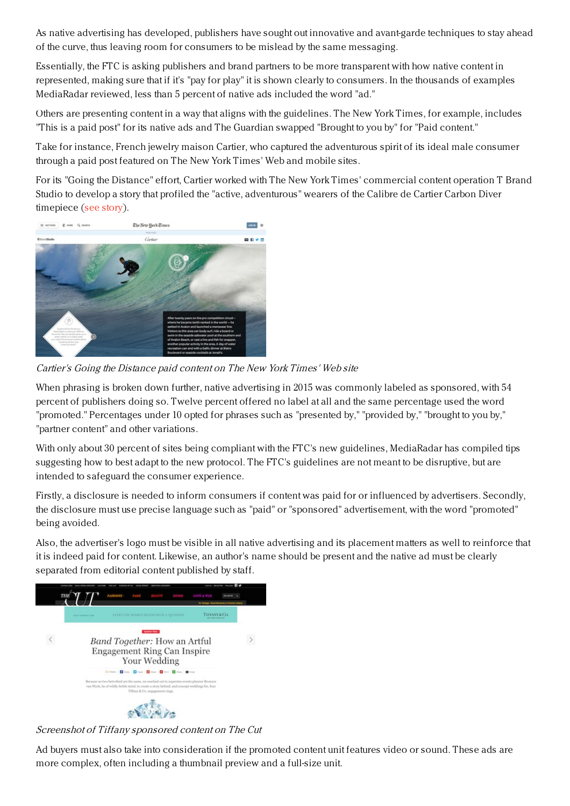As native advertising has developed, publishers have sought out innovative and avant-garde techniques to stay ahead of the curve, thus leaving room for consumers to be mislead by the same messaging.

Essentially, the FTC is asking publishers and brand partners to be more transparent with how native content in represented, making sure that if it's "pay for play" it is shown clearly to consumers. In the thousands of examples MediaRadar reviewed, less than 5 percent of native ads included the word "ad."

Others are presenting content in a way that aligns with the guidelines. The New York Times, for example, includes "This is a paid post" for its native ads and The Guardian swapped "Brought to you by" for "Paid content."

Take for instance, French jewelry maison Cartier, who captured the adventurous spirit of its ideal male consumer through a paid post featured on The New York Times' Web and mobile sites.

For its "Going the Distance" effort, Cartier worked with The New York Times' commercial content operation T Brand Studio to develop a story that profiled the "active, adventurous" wearers of the Calibre de Cartier Carbon Diver timepiece (see [story](https://www.luxurydaily.com/cartier-explores-treacherous-terrains-in-paid-new-york-times-campaign/)).



Cartier's Going the Distance paid content on The New York Times' Web site

When phrasing is broken down further, native advertising in 2015 was commonly labeled as sponsored, with 54 percent of publishers doing so. Twelve percent offered no label at all and the same percentage used the word "promoted." Percentages under 10 opted for phrases such as "presented by," "provided by," "brought to you by," "partner content" and other variations.

With only about 30 percent of sites being compliant with the FTC's new guidelines, MediaRadar has compiled tips suggesting how to best adapt to the new protocol. The FTC's guidelines are not meant to be disruptive, but are intended to safeguard the consumer experience.

Firstly, a disclosure is needed to inform consumers if content was paid for or influenced by advertisers. Secondly, the disclosure must use precise language such as "paid" or "sponsored" advertisement, with the word "promoted" being avoided.

Also, the advertiser's logo must be visible in all native advertising and its placement matters as well to reinforce that it is indeed paid for content. Likewise, an author's name should be present and the native ad must be clearly separated from editorial content published by staff.



Screenshot of Tiffany sponsored content on The Cut

Ad buyers must also take into consideration if the promoted content unit features video or sound. These ads are more complex, often including a thumbnail preview and a full-size unit.